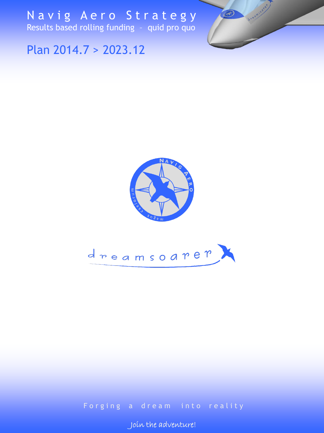Navig Aero Strategy Results based rolling funding – quid pro quo



Plan 2014.7 > 2023.12



### Forging a dream into reality

P r o s p o s p o l i n adventure!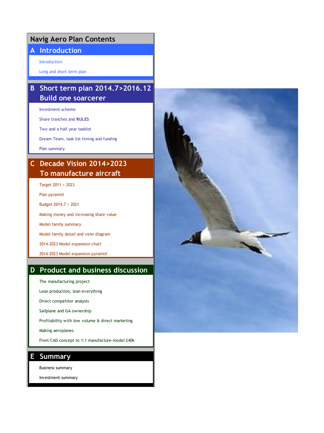### **Navig Aero Plan Contents**

### **A Introduction**

Introduction

Long and short term plan

### **B Short term plan 2014.7>2016.12 Build one soarcerer**

Investment scheme

Share tranches and **RULES**

Two and a half year tasklist

Dream-Team, task list timing and funding

Plan summary

### **C Decade Vision 2014>2023 To manufacture aircraft**

Target 2011 > 2023

Plan pyramid

Budget 2014.7 > 2021

Making money and increasing share value

Model family summary

Model family detail and venn diagram

2014-2023 Model expansion chart

2014-2023 Model expansion pyramid

### **D Product and business discussion**

The manufacturing project

Lean production, lean everything

Direct competitor analysis

Sailplane and GA ownership

Profitability with low volume & direct marketing

Making aeroplanes

From CAD concept to 1:1 manufacture-model £40k

#### **E Summary**

Business summary

Investment summary

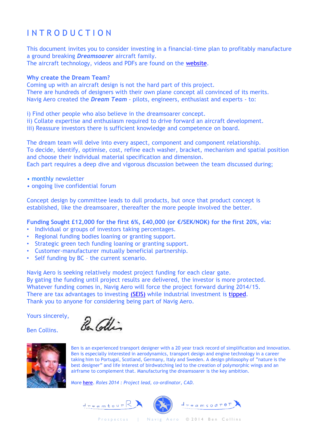## I N T R O D U C T I O N

This document invites you to consider investing in a financial-time plan to profitably manufacture a ground breaking *Dreamsoarer* aircraft family. The aircraft technology, videos and PDFs are found on the [website.](http://www.navigaero.com/DownloadsAndPressInfo.html)

#### **Why create the Dream Team?**

Coming up with an aircraft design is not the hard part of this project. There are hundreds of designers with their own plane concept all convinced of its merits. Navig Aero created the *Dream Team* - pilots, engineers, enthusiast and experts - to:

i) Find other people who also believe in the dreamsoarer concept.

- ii) Collate expertise and enthusiasm required to drive forward an aircraft development.
- iii) Reassure investors there is sufficient knowledge and competence on board.

The dream team will delve into every aspect, component and component relationship. To decide, identify, optimise, cost, refine each washer, bracket, mechanism and spatial position and choose their individual material specification and dimension. Each part requires a deep dive and vigorous discussion between the team discussed during;

- monthly newsletter
- ongoing live confidential forum

Concept design by committee leads to dull products, but once that product concept is established, like the dreamsoarer, thereafter the more people involved the better.

**Funding Sought £12,000 for the first 6%, £40,000 (or €/SEK/NOK) for the first 20%, via:**

- Individual or groups of investors taking percentages.
- Regional funding bodies loaning or granting support.
- Strategic green tech funding loaning or granting support.
- Customer-manufacturer mutually beneficial partnership.
- Self funding by BC the current scenario.

Navig Aero is seeking relatively modest project funding for each clear gate. By gating the funding until project results are delivered, the investor is more protected. Whatever funding comes in, Navig Aero will force the project forward during 2014/15. There are tax advantages to investing [\(SEIS\)](http://www.ukbusinessangelsassociation.org.uk/be-an-angel/forming-own-syndicate) while industrial investment is [tipped.](http://www.bbc.com/capital/story/20131028-what-stocks-to-buy-now) Thank you to anyone for considering being part of Navig Aero.

Yours sincerely,

Ben Collins.

Re Collin



Ben is an experienced transport designer with a 20 year track record of simplification and innovation. Ben is especially interested in aerodynamics, transport design and engine technology in a career taking him to Portugal, Scotland, Germany, Italy and Sweden. A design philosophy of "nature is the best designer" and life interest of birdwatching led to the creation of polymorphic wings and an airframe to complement that. Manufacturing the dreamsoarer is the key ambition.

More [here.](http://www.coupehardtop.com/) *Roles 2014 : Project lead, co-ordinator, CAD.*

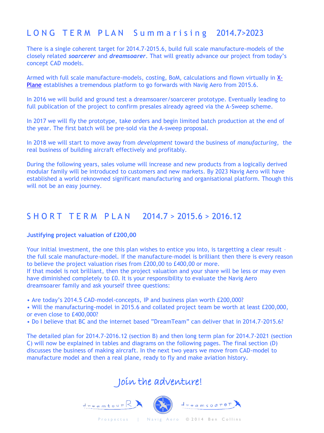### LONG TERM PLAN Summarising 2014.7>2023

There is a single coherent target for 2014.7-2015.6, build full scale manufacture-models of the closely related *soarcerer* and *dreamsoarer*. That will greatly advance our project from today's concept CAD models.

[Armed with full scale manufacture-models, costing, BoM, calculations and flown virtually in X-](http://www.x-plane.com/desktop/home/)Plane establishes a tremendous platform to go forwards with Navig Aero from 2015.6.

In 2016 we will build and ground test a dreamsoarer/soarcerer prototype. Eventually leading to full publication of the project to confirm presales already agreed via the A-Sweep scheme.

In 2017 we will fly the prototype, take orders and begin limited batch production at the end of the year. The first batch will be pre-sold via the A-sweep proposal.

In 2018 we will start to move away from *development* toward the business of *manufacturing*, the real business of building aircraft effectively and profitably.

During the following years, sales volume will increase and new products from a logically derived modular family will be introduced to customers and new markets. By 2023 Navig Aero will have established a world reknowned significant manufacturing and organisational platform. Though this will not be an easy journey.

### S H O R T T E R M P L A N 2014.7 > 2015.6 > 2016.12

#### **Justifying project valuation of £200,00**

Your initial investment, the one this plan wishes to entice you into, is targetting a clear result the full scale manufacture-model. If the manufacture-model is brilliant then there is every reason to believe the project valuation rises from £200,00 to £400,00 or more. If that model is not brilliant, then the project valuation and your share will be less or may even

have diminished completely to £0. It is your responsibility to evaluate the Navig Aero dreamsoarer family and ask yourself three questions:

• Are today's 2014.5 CAD-model-concepts, IP and business plan worth £200,000?

• Will the manufacturing-model in 2015.6 and collated project team be worth at least £200,000, or even close to £400,000?

• Do I believe that BC and the internet based "DreamTeam" can deliver that in 2014.7-2015.6?

The detailed plan for 2014.7-2016.12 (section B) and then long term plan for 2014.7-2021 (section C) will now be explained in tables and diagrams on the following pages. The final section (D) discusses the business of making aircraft. In the next two years we move from CAD-model to manufacture model and then a real plane, ready to fly and make aviation history.

## Join the adventure!

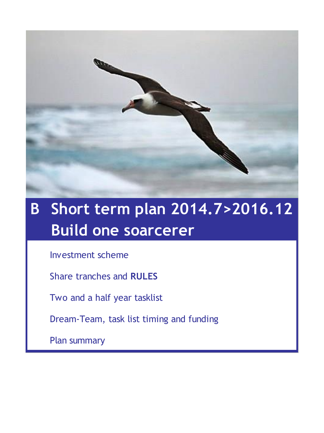

# **B Short term plan 2014.7>2016.12 Build one soarcerer**

Investment scheme

Share tranches and **RULES**

Two and a half year tasklist

Dream-Team, task list timing and funding

Plan summary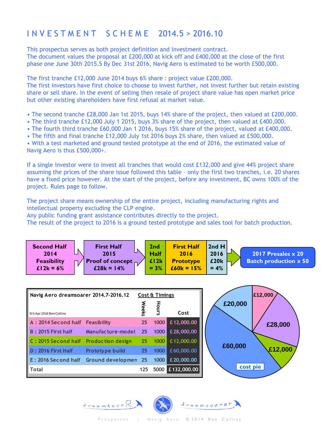## I N V E S T M E N T S C H E M E 2014.5 > 2016.10

This prospectus serves as both project definition and investment contract.

The document values the proposal at £200,000 at kick off and £400,000 at the close of the first phase one June 30th 2015.5 By Dec 31st 2016, Navig Aero is estimated to be worth £500,000.

The first tranche £12,000 June 2014 buys 6% share : project value £200,000.

The first investors have first choice to choose to invest further, not invest further but retain existing share or sell share. In the event of selling then resale of project share value has open market price but other existing shareholders have first refusal at market value.

- The second tranche £28,000 Jan 1st 2015, buys 14% share of the project, then valued at £200,000.
- The third tranche £12,000 July 1 2015, buys 3% share of the project, then valued at £400,000.
- The fourth third tranche £60,000 Jan 1 2016, buys 15% share of the project, valued at £400,000.
- The fifth and final tranche £12,000 July 1st 2016 buys 2% share, then valued at £500,000.

• With a test marketed and ground tested prototype at the end of 2016, the estimated value of Navig Aero is thus £500,000+.

If a single investor were to invest all tranches that would cost £132,000 and give 44% project share assuming the prices of the share issue followed this table – only the first two tranches, i.e. 20 shares have a fixed price however. At the start of the project, before any investment, BC owns 100% of the project. Rules page to follow.

The project share means ownership of the entire project, including manufacturing rights and intellectual property excluding the CLP engine.

Any public funding grant assistance contributes directly to the project.

The result of the project to 2016 is a ground tested prototype and sales tool for batch production.



| Navig Aero dreamsoarer 2014, 7-2016, 12  |                        |              | Cost & Timings |             |          | £12,000 |
|------------------------------------------|------------------------|--------------|----------------|-------------|----------|---------|
| 5th Apr 2014 Ben Collins                 |                        | <b>Weeks</b> | Hours          | Cost        | £20,000  |         |
| A: 2014 Second half Feasibility          |                        | 25           | 1000           | £12,000.00  |          | £28,000 |
| <b>B: 2015 First half</b>                | Manufacture-model      | 25           | 1000           | £28,000.00  |          |         |
| C: 2015 Second half Production design    |                        | 25           | 1000           | £12,000.00  | £60,000  |         |
| D: 2016 First Half                       | <b>Prototype build</b> | 25           | 1000           | £60,000.00  |          | £12,000 |
| E: 2016 Second half Ground developmen 25 |                        |              | 1000           | £20,000.00  |          |         |
| Total                                    |                        | 125          | 5000           | £132,000.00 | cost pie |         |
|                                          |                        |              |                |             |          |         |

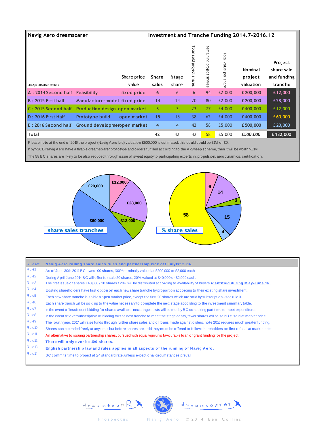| Navig Aero dreamsoarer                                                                                                                                                                                                                                                       |                               |                      |                |                |                           |                          |                             | Investment and Tranche Funding 2014.7-2016.12 |                                                 |
|------------------------------------------------------------------------------------------------------------------------------------------------------------------------------------------------------------------------------------------------------------------------------|-------------------------------|----------------------|----------------|----------------|---------------------------|--------------------------|-----------------------------|-----------------------------------------------|-------------------------------------------------|
| 5th Apr 2014 Ben Collins                                                                                                                                                                                                                                                     |                               | Share price<br>value | Share<br>sales | %tage<br>share | Total sold project shares | Remaining project shares | Total value<br>per<br>share | <b>Nominal</b><br>project<br>valuation        | Project<br>share sale<br>and funding<br>tranche |
| A: 2014 Second half Feasibility                                                                                                                                                                                                                                              |                               | fixed price          | 6              | 6              | 6                         | 94                       | £2,000                      | £200,000                                      | £12,000                                         |
| <b>B: 2015 First half</b>                                                                                                                                                                                                                                                    | Manufacture-model fixed price |                      | 14             | 14             | 20                        | 80                       | £2,000                      | £200,000                                      | £28,000                                         |
| C: 2015 Second half Production design open market                                                                                                                                                                                                                            |                               |                      | 3              | $\overline{3}$ | 23                        | 77                       | £4,000                      | £400,000                                      | £12,000                                         |
| D: 2016 First Half                                                                                                                                                                                                                                                           | Prototype build               | open market          | 15             | 15             | 38                        | 62                       | £4,000                      | £400,000                                      | £60,000                                         |
| E: 2016 Second half                                                                                                                                                                                                                                                          | Ground developmeropen market  |                      | $\overline{4}$ | $\overline{4}$ | 42                        | 58                       | £5,000                      | £500,000                                      | £20,000                                         |
| <b>Total</b>                                                                                                                                                                                                                                                                 |                               |                      | 42             | 42             | 42                        | 58                       | £5,000                      | £500,000                                      | £132,000                                        |
| Please note at the end of 2016 the project (Navig Aero Ltd) valuation £500,000 is estimated, this could could be £1M or £0.<br>If by >2016 Navig Aero have a flyable dreamso arer prototype and orders fulfilled according to the A-Sweep scheme, then it will be worth >£1M |                               |                      |                |                |                           |                          |                             |                                               |                                                 |

The 58 BC shares are likely to be also reduced through issue of sweat equity to participating experts in; propulsion, aerodynamics, certification.



| <b>Rule ref</b>    | Navig Aero rolling share sales rules and partnership kick off July1st 2014.                                                                       |
|--------------------|---------------------------------------------------------------------------------------------------------------------------------------------------|
| Rule1              | As of June 30th 2014 BC owns 100 shares, 100% no minally valued at £200,000 or £2,000 each                                                        |
| Rule <sub>2</sub>  | During April-June 2014 BC will offer for sale 20 shares, 20%, valued at £40,000 or £2,000 each.                                                   |
| Rule3              | The first issue of shares £40,000 / 20 shares / 20% will be distributed according to availability of buyers <i>identified during May-June 14.</i> |
| Rule4              | Existing shareholders have first option on each new share tranche by proportion according to their existing share investment.                     |
| Rule <sub>5</sub>  | Each new share tranche is sold on open market price, except the first 20 shares which are sold by subscription - see rule 3.                      |
| Rule <sub>6</sub>  | Each share tranch will be sold up to the value necessary to complete the next stage according to the investment summary table.                    |
| Rule7              | In the event of insufficent bidding for shares available, next stage costs will be met by BC consulting part time to meet expenditures.           |
| Rule <sub>8</sub>  | In the event of oversubscription of bidding for the next tranche to meet the stage costs, fewer shares will be sold, i.e. sold at market price.   |
| Rule9              | The fourth year, 2017 will raise funds through further share sales and or loans made against orders, note 2016 requires much greater funding.     |
| Rule10             | Shares can be traded freely at any time, but before shares are sold they must be offered to fellow shareholders on first refusal at market price. |
| Rule <sub>11</sub> | An alternative to issuing partnership shares, pursued with equal vigour is favourable loan or grant funding for the project.                      |
| Rule <sub>12</sub> | There will only ever be 100 shares.                                                                                                               |
| Rule <sub>13</sub> | English partnership law and rules applies in all aspects of the running of Navig Aero.                                                            |
| Rule <sup>14</sup> | BC commits time to project at 1/4 standard rate, unless exceptional circumstances prevail                                                         |



Prospectus | Navig Aero © 2014 Ben Collins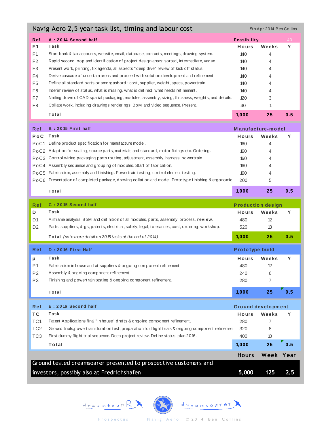| Navig Aero 2,5 year task list, timing and labour cost<br>5th Apr 2014 Ben Collins |                                                                                                      |                                    |           |     |  |  |  |  |  |  |  |
|-----------------------------------------------------------------------------------|------------------------------------------------------------------------------------------------------|------------------------------------|-----------|-----|--|--|--|--|--|--|--|
| Ref                                                                               | A: 2014 Second half                                                                                  | Feasibility                        |           | 40  |  |  |  |  |  |  |  |
| F1                                                                                | Task                                                                                                 | Hours                              | Weeks     | Y   |  |  |  |  |  |  |  |
| F1                                                                                | Start bank & tax accounts, website, email, database, contacts, meetings, drawing system.             | 140                                | 4         |     |  |  |  |  |  |  |  |
| F <sub>2</sub>                                                                    | Rapid second loop and identification of project design areas; sorted, intermediate, vague.           | 140                                | 4         |     |  |  |  |  |  |  |  |
| F <sub>3</sub>                                                                    | Present work, printing, fix agenda, all aspects "deep dive" review of kick off status.               | 140                                | 4         |     |  |  |  |  |  |  |  |
| F4                                                                                | Derive cascade of uncertain areas and proceed with solution development and refinement.              | 140                                | 4         |     |  |  |  |  |  |  |  |
| F <sub>5</sub>                                                                    | Define all standard parts or smorgasbord : cost, supplier, weight, specs, powertrain.                | 140                                | 4         |     |  |  |  |  |  |  |  |
| F6                                                                                | Interim review of status, what is missing, what is defined, what needs refinement.                   | 140                                | 4         |     |  |  |  |  |  |  |  |
| F7                                                                                | Nailing down of CAD spatial packaging, modules, assembly, sizing, thickness, weights, and details.   | 120                                | 3         |     |  |  |  |  |  |  |  |
| F8                                                                                | Collate work, including drawings renderings, BoM and video sequence. Present.                        | 40                                 | 1         |     |  |  |  |  |  |  |  |
|                                                                                   | Total                                                                                                | 1,000                              | 25        | 0.5 |  |  |  |  |  |  |  |
| Ref                                                                               | B: 2015 First half                                                                                   | Manufacture-model                  |           |     |  |  |  |  |  |  |  |
| PoC                                                                               | Task                                                                                                 | Hours                              | Weeks     | Y   |  |  |  |  |  |  |  |
|                                                                                   | PoC1 Define product specification for manufacture model.                                             | 160                                | 4         |     |  |  |  |  |  |  |  |
|                                                                                   | PoC2 Adaption for scaling, source parts, materials and standard, motor fixings etc. Ordering.        | 160                                | 4         |     |  |  |  |  |  |  |  |
|                                                                                   | PoC3 Control wiring packaging parts routing, adjustment, assembly, harness, powertrain.              | 160                                | 4         |     |  |  |  |  |  |  |  |
|                                                                                   | PoC4 Assembly sequence and grouping of modules. Start of fabrication.                                | 160                                | 4         |     |  |  |  |  |  |  |  |
|                                                                                   | PoC5 Fabrication, assembly and finishing. Powertrain testing, control element testing.               | 160                                | 4         |     |  |  |  |  |  |  |  |
|                                                                                   | PoC6 Presentation of completed package, drawing collation and model. Prototype finishing & ergonomic | 200                                | 5         |     |  |  |  |  |  |  |  |
|                                                                                   | Total                                                                                                | 1,000                              | 25        | 0.5 |  |  |  |  |  |  |  |
|                                                                                   |                                                                                                      |                                    |           |     |  |  |  |  |  |  |  |
| Ref                                                                               | C: 2015 Second half                                                                                  | <b>Production design</b>           |           |     |  |  |  |  |  |  |  |
| D                                                                                 | Task                                                                                                 | Hours                              | Weeks     | Y   |  |  |  |  |  |  |  |
| D <sub>1</sub>                                                                    | Airframe analysis, BoM and definition of all modules, parts, assembly, process, review.              | 480                                | 12        |     |  |  |  |  |  |  |  |
| D <sub>2</sub>                                                                    | Parts, suppliers, drgs, patents, electrical, safety, legal, tolerances, cost, ordering, workshop.    | 520                                | 13        |     |  |  |  |  |  |  |  |
|                                                                                   | Total (note more detail on 2015 tasks at the end of 2014)                                            | 1,000                              | 25        | 0.5 |  |  |  |  |  |  |  |
| Ref                                                                               | D: 2016 First Half                                                                                   | Prototype build                    |           |     |  |  |  |  |  |  |  |
| p                                                                                 | Task                                                                                                 | Hours                              | Weeks     | Y   |  |  |  |  |  |  |  |
| P1                                                                                | Fabrication in house and at suppliers & ongoing component refinement.                                | 480                                | 12        |     |  |  |  |  |  |  |  |
| P2                                                                                | Assembly & ongoing component refinement.                                                             | 240                                | 6         |     |  |  |  |  |  |  |  |
| P3                                                                                | Finishing and powertrain testing & ongoing component refinement.                                     | 280                                | 7         |     |  |  |  |  |  |  |  |
|                                                                                   | Total                                                                                                | 1,000                              | 25        | 0.5 |  |  |  |  |  |  |  |
| Ref                                                                               | E: 2016 Second half                                                                                  |                                    |           |     |  |  |  |  |  |  |  |
|                                                                                   | Task                                                                                                 | <b>Ground development</b><br>Hours | Weeks     | Y   |  |  |  |  |  |  |  |
| ТC<br>TC1                                                                         | Patent Applications final "in house" drafts & ongoing component refinement.                          | 280                                | 7         |     |  |  |  |  |  |  |  |
| TC <sub>2</sub>                                                                   | Ground trials, powertrain duration test, preparation for flight trials & ongoing component refinemen | 320                                | 8         |     |  |  |  |  |  |  |  |
| TC <sub>3</sub>                                                                   | First dummy flight trial sequence. Deep project review. Define status, plan 2016.                    | 400                                | 10        |     |  |  |  |  |  |  |  |
|                                                                                   | Total                                                                                                | 1,000                              | 25        | 0.5 |  |  |  |  |  |  |  |
|                                                                                   |                                                                                                      | <b>Hours</b>                       | Week Year |     |  |  |  |  |  |  |  |
|                                                                                   | Ground tested dreamsoarer presented to prospective customers and                                     |                                    |           |     |  |  |  |  |  |  |  |

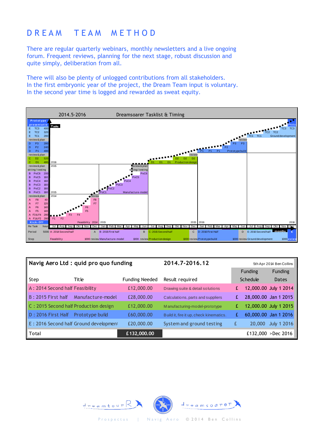### D R E A M T E A M M E T H O D

There are regular quarterly webinars, monthly newsletters and a live ongoing forum. Frequent reviews, planning for the next stage, robust discussion and quite simply, deliberation from all.

There will also be plenty of unlogged contributions from all stakeholders. In the first embryonic year of the project, the Dream Team input is voluntary. In the second year time is logged and rewarded as sweat equity.



|                                 | Navig Aero Ltd : quid pro quo funding  | 2014.7-2016.12        |                                         |   |          | 5th Apr 2014 Ben Collins |
|---------------------------------|----------------------------------------|-----------------------|-----------------------------------------|---|----------|--------------------------|
|                                 |                                        |                       |                                         |   | Funding  | Funding                  |
| Step                            | Title                                  | <b>Funding Needed</b> | Result required                         |   | Schedule | Dates                    |
| A: 2014 Second half Feasibility |                                        | £12,000.00            | Drawing suite & detail solutions        | £ |          | 12,000.00 July 1 2014    |
| <b>B</b> : 2015 First half      | Manufacture-model                      | £28,000.00            | Calculations, parts and suppliers       | £ |          | 28,000.00 Jan 1 2015     |
|                                 | C: 2015 Second half Production design  | £12,000.00            | Manufacturing-model-prototype           | £ |          | 12,000.00 July 1 2015    |
| D: 2016 First Half              | Prototype build                        | £60,000.00            | Build it, fire it up, check kinematics. | £ |          | 60,000.00 Jan 1 2016     |
|                                 | E: 2016 Second half Ground development | £20,000.00            | System and ground testing               | £ | 20,000   | <b>July 1 2016</b>       |
| $\parallel$ Total               |                                        | £132,000.00           |                                         |   |          | £132,000 > Dec 2016      |

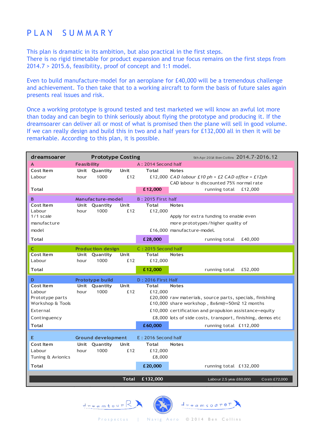### PLAN SUMMARY

This plan is dramatic in its ambition, but also practical in the first steps. There is no rigid timetable for product expansion and true focus remains on the first steps from 2014.7 > 2015.6, feasibility, proof of concept and 1:1 model.

Even to build manufacture-model for an aeroplane for £40,000 will be a tremendous challenge and achievement. To then take that to a working aircraft to form the basis of future sales again presents real issues and risk.

Once a working prototype is ground tested and test marketed we will know an awful lot more than today and can begin to think seriously about flying the prototype and producing it. If the dreamsoarer can deliver all or most of what is promised then the plane will sell in good volume. If we can really design and build this in two and a half years for £132,000 all in then it will be remarkable. According to this plan, it is possible.

| dreamsoarer       |                    | <b>Prototype Costing</b>  |              |                            | 5th Apr 2014 Ben Collins 2014.7-2016.12                    |
|-------------------|--------------------|---------------------------|--------------|----------------------------|------------------------------------------------------------|
| A                 | <b>Feasibility</b> |                           |              | A: 2014 Second half        |                                                            |
| Cost Item         |                    | Unit Quantity             | Unit         | <b>Total</b>               | <b>Notes</b>                                               |
| Labour            | hour               | 1000                      | £12          |                            | £12,000 CAD labour £10 ph + £2 CAD office = £12ph          |
|                   |                    |                           |              |                            | CAD labour is discounted 75% normal rate                   |
| Total             |                    |                           |              | £12,000                    | running total £12,000                                      |
| B                 |                    | Manufacture-model         |              | <b>B</b> : 2015 First half |                                                            |
| Cost Item         |                    | Unit Quantity             | Unit         | <b>Total</b>               | <b>Notes</b>                                               |
| Labour            | hour               | 1000                      | £12          | £12,000                    |                                                            |
| $1/1$ scale       |                    |                           |              |                            | Apply for extra funding to enable even                     |
| manufacture       |                    |                           |              |                            | more prototypes/higher quality of                          |
| model             |                    |                           |              |                            | £16,000 manufacture-model.                                 |
| <b>Total</b>      |                    |                           |              | £28,000                    | £40,000<br>running total                                   |
| C                 |                    | <b>Production design</b>  |              | C: 2015 Second half        |                                                            |
| Cost Item         |                    | Unit Quantity             | Unit         | <b>Total</b>               | <b>Notes</b>                                               |
| Labour            | hour               | 1000                      | £12          | £12,000                    |                                                            |
| <b>Total</b>      |                    |                           |              | £12,000                    | running total<br>£52,000                                   |
| D                 |                    | Prototype build           |              | D: 2016 First Half         |                                                            |
| Cost Item         |                    | Unit Quantity             | Unit         | <b>Total</b>               | <b>Notes</b>                                               |
| Labour            | hour               | 1000                      | £12          | £12,000                    |                                                            |
| Prototype parts   |                    |                           |              |                            | £20,000 raw materials, source parts, specials, finishing   |
| Workshop & Tools  |                    |                           |              |                            | £10,000 share workshop, 8x6m@=50m2 12 months               |
| External          |                    |                           |              |                            | £10,000 certification and propulsion assistance+equity     |
| Continguency      |                    |                           |              |                            | £8,000 lots of side costs, transport, finishing, demos etc |
| <b>Total</b>      |                    |                           |              | £60,000                    | running total £112,000                                     |
| Е                 |                    | <b>Ground development</b> |              | E: 2016 Second half        |                                                            |
| <b>Cost Item</b>  |                    | Unit Quantity             | Unit         | Total                      | <b>Notes</b>                                               |
| Labour            | hour               | 1000                      | £12          | £12,000                    |                                                            |
| Tuning & Avionics |                    |                           |              | £8,000                     |                                                            |
|                   |                    |                           |              |                            |                                                            |
| <b>Total</b>      |                    |                           |              | £20,000                    | running total £132,000                                     |
|                   |                    |                           | <b>Total</b> | £132,000                   | Labour 2.5 year £60,000<br>Costs £72,000                   |
|                   |                    |                           |              |                            |                                                            |

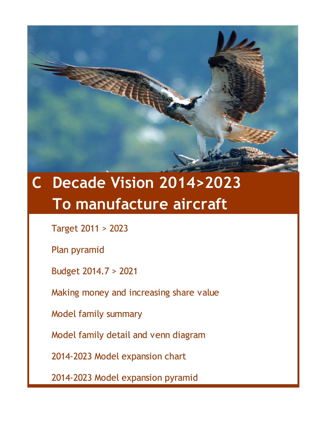

# **C Decade Vision 2014>2023 To manufacture aircraft**

Target 2011 > 2023

Plan pyramid

Budget 2014.7 > 2021

Making money and increasing share value

Model family summary

Model family detail and venn diagram

2014-2023 Model expansion chart

2014-2023 Model expansion pyramid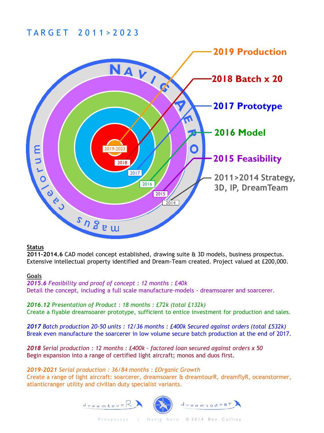### T A R G E T 2 0 1 1 > 2 0 2 3



#### **Status**

**2011-2014.6** CAD model concept established, drawing suite & 3D models, business prospectus. Extensive intellectual property identified and Dream-Team created. Project valued at £200,000.

#### **Goals**

*2015.6 Feasibility and proof of concept : 12 months : £40k* Detail the concept, including a full scale manufacture-models - dreamsoarer and soarcerer.

*2016.12 Presentation of Product : 18 months : £72k (total £132k)* Create a flyable dreamsoarer prototype, sufficient to entice investment for production and sales.

*2017 Batch production 20-50 units : 12/36 months : £400k Secured against orders (total £532k)* Break even manufacture the soarcerer in low volume secure batch production at the end of 2017.

*2018 Serial production : 12 months : £400k – factored loan secured against orders x 50* Begin expansion into a range of certified light aircraft; monos and duos first.

*2019-2021 Serial production : 36/84 months : £Organic Growth*

Create a range of light aircraft: soarcerer, dreamsoarer & dreamtourR, dreamflyR, oceanstormer, atlanticranger utility and civilian duty specialist variants.

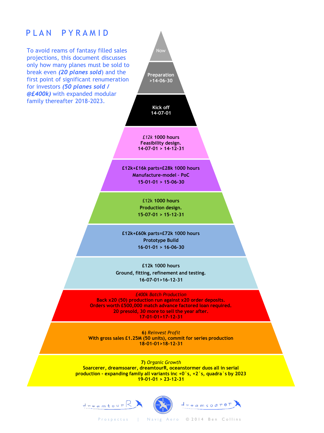### PLAN PYRAMID

To avoid reams of fantasy filled sales projections, this document discusses only how many planes must be sold to break even *(20 planes sold*) and the first point of significant renumeration for investors *(50 planes sold / @£400k)* with expanded modular family thereafter 2018-2023.

Now **Preparation >14-06-30 Kick off 14-07-01**

*£12k* **1000 hours Feasibility design. 14-07-01 > 14-12-31**

**£12k+£16k parts=£28k 1000 hours Manufacture-model – PoC 15-01-01 > 15-06-30**

> £12k **1000 hours Production design. 15-07-01 > 15-12-31**

**£12k+£60k parts=£72k 1000 hours Prototype Build 16-01-01 > 16-06-30**

**£12k 1000 hours Ground, fitting, refinement and testing. 16-07-01>16-12-31**

*£400k Batch Production* **Back x20 (50) production run against x20 order deposits. Orders worth £500,000 match advance factored loan required. 20 presold, 30 more to sell the year after. 17-01-01>17-12-31**

**6)** *Reinvest Profit* **With gross sales £1.25M (50 units), commit for series production 18-01-01>18-12-31**

**7)** *Organic Growth* **Soarcerer, dreamsoarer, dreamtourR, oceanstormer duos all in serial production - expanding family all variants inc +0`s, +2`s, quadra`s by 2023 19-01-01 > 23-12-31** 







Prospectus | Navig Aero © 2014 Ben Collins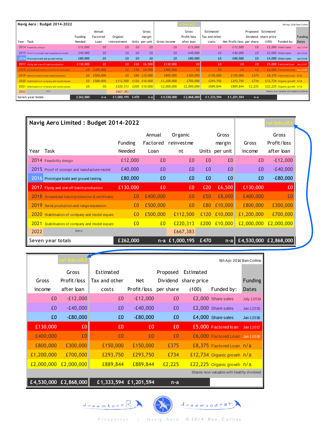| Navig Aero: Budget 2014-2022                     |                |                    |                 |      |                 |              |                      |                            |                           |                |                                            | 5th Apr 2014 Ben Collins |
|--------------------------------------------------|----------------|--------------------|-----------------|------|-----------------|--------------|----------------------|----------------------------|---------------------------|----------------|--------------------------------------------|--------------------------|
|                                                  | Funding        | Annual<br>Factored | Organic         |      | Gross<br>margin |              | Gross<br>Profit/loss | Estimated<br>Tax and other |                           |                | Proposed Estimated<br>Dividend share price | Funding                  |
| Year<br>Task                                     | Needed         | Loan               | reinvestment    |      | Units per unit  | Gross income | after loan           | costs                      | Net Profit/loss per share |                | (100)<br>Funded by:                        | Dates                    |
| 2014 Feasibility design                          | £12,000        | £0                 | £0              | £0   | £0              | £0           | $-E12,000$           | £0                         | $-E12,000$                | £0             | £2,000 Share sales                         | <b>July 12014</b>        |
| 2015 Proof of concept and manufacture-model      | £40,000        | £0                 | £0              | £0   | £0              | £0           | $-E40,000$           | £0                         | $-E40,000$                | £0             | £2,000 Share sales                         | Jan 12015                |
| 2016 Prototype build and ground testing          | £80,000        | £0                 | £0              | £0   | £0              | £0           | $-680,000$           | £0                         | $-680,000$                | £0             | £4,000 Share sales                         | Jan 12016                |
| 2017 Flying and one off batch production         | £130,000       | £0                 | £0              | £20  | £6,500          | £130,000     | £0                   | £0                         | £0                        | £0             | £5,000 Factored loan Jan 12017             |                          |
| 2018 Streamlined batch production & certificatio | £0.            | £400,000           | E <sub>0</sub>  | £50  | £8,000          | £400,000     | £0                   | £0                         | E <sub>0</sub>            | E <sub>0</sub> | £6,000 Factored Loan Jan 12018             |                          |
| 2019 Serial production and range expansion       | f(0)           | £500,000           | E <sub>0</sub>  | £80  | £10,000         | £800,000     | £300,000             | £150,000                   | £150,000                  | £375           | £8,375 Factored Loan n/a                   |                          |
| 2020 Stabilisation of company and model expans   | f(0)           | £500,000           | £112,500        | £120 | £10,000         | £1,200,000   | £700,000             | £293,750                   | £293,750                  | £734           | £12,734 Organic growth n/a                 |                          |
| 2021 Stabilisation of company and model expans   | E <sub>0</sub> | £ <sub>0</sub>     | £220,313        | £200 | £10,000         | £2,000,000   | £2,000,000           | £889,844                   | £889,844                  | £2,225         | £22,225 Organic growth n/a                 |                          |
| 2022<br>Aero                                     |                |                    | £667,383        |      |                 |              |                      |                            |                           |                | Shares now valuable with healthy dividend  |                          |
| Seven year totals                                | £262,000       | $n-a$              | £1,000,195 £470 |      | n-al            | £4,530,000   | £2,868,000           | £1,333,594                 | £1,201,594                | $n-a$          |                                            |                          |

|      | Navig Aero Limited: Budget 2014-2022             |          |          |                |       |                |            |                       |  |
|------|--------------------------------------------------|----------|----------|----------------|-------|----------------|------------|-----------------------|--|
|      |                                                  |          | Annual   | Organic        | Gross |                |            | Gross                 |  |
|      |                                                  | Funding  | Factored | reinvestme     |       | margin         | Gross      | Profit/loss           |  |
| Year | Task                                             | Needed   | Loan     | nt             |       | Units per unit | income     | after loan            |  |
|      | 2014 Feasibility design                          | £12,000  | £0       | £0             | £0    | £0             | £0         | $-E12,000$            |  |
|      | 2015 Proof of concept and manufacture-model      | £40,000  | £0       | £0             | £0    | £0             | £0         | $-E40,000$            |  |
| 2016 | Prototype build and ground testing               | £80,000  | £0       | £0             | £0    | £0             | £0         | $-E80,000$            |  |
|      | 2017 Flying and one off batch production         | £130,000 | £0       | £0             | £20   | £6,500         | £130,000   | £0                    |  |
|      | 2018 Streamlined batch production & certificatio | £0       | £400,000 | £0             | £50   | £8,000         | £400,000   | £0                    |  |
| 2019 | Serial production and range expansion            | £0       | £500,000 | £0             | £80   | £10,000        | £800,000   | £300,000              |  |
|      | 2020 Stabilisation of company and model expans   | £0       | £500,000 | £112,500       | £120  | £10,000        | £1,200,000 | £700,000              |  |
|      | 2021 Stabilisation of company and model expans   | £0       | £0       | £220,313       | £200  | £10,000        | £2,000,000 | £2,000,000            |  |
| 2022 | Aero                                             |          |          | £667,383       |       |                |            |                       |  |
|      | Seven year totals                                | £262,000 |          | n-a £1,000,195 | £470  | $n-a$          |            | £4,530,000 £2,868,000 |  |

|            | <u>ef linkcell.</u>                |               |                       |           |                      | 5th Apr 2014 Ben Collins                  |                   |
|------------|------------------------------------|---------------|-----------------------|-----------|----------------------|-------------------------------------------|-------------------|
|            | Gross                              | Estimated     |                       | Proposed  | Estimated            |                                           |                   |
| Gross      | Profit/loss                        | Tax and other | Net                   |           | Dividend share price |                                           | Funding           |
| income     | after loan                         | costs         | Profit/loss           | per share | (100)                | Funded by:                                | Dates             |
| £0         | $-E12,000$                         | £0            | $-E12,000$            | £0        |                      | £2,000 Share sales                        | <b>July 12014</b> |
| £0         | $-E40,000$                         | £0            | $-E40,000$            | £0        |                      | £2,000 Share sales                        | Jan 12015         |
| £0         | $-E80,000$                         | £0            | $-E80,000$            | £0        |                      | £4,000 Share sales                        | Jan 12016         |
| £130,000   | £0                                 | £0            | £0                    | £0        |                      | £5,000 Factored loan                      | Jan 12017         |
| £400,000   | £0                                 | £0            | £0                    | £0        |                      | £6,000 Factored Loan Jan 12018            |                   |
| £800,000   | £300,000                           | £150,000      | £150,000              | £375      |                      | £8,375 Factored Loan n/a                  |                   |
| £1,200,000 | £700,000                           | £293,750      | £293,750              | £734      |                      | £12,734 Organic growth n/a                |                   |
| £2,000,000 | £2,000,000                         | £889,844      | £889,844              | £2,225    |                      | £22,225 Organic growth $n/a$              |                   |
|            |                                    |               |                       |           |                      | Shares now valuable with healthy dividend |                   |
|            | £4,530,000 $\overline{E2,868,000}$ |               | £1,333,594 £1,201,594 | $n-a$     |                      |                                           |                   |
|            |                                    |               |                       |           |                      |                                           |                   |



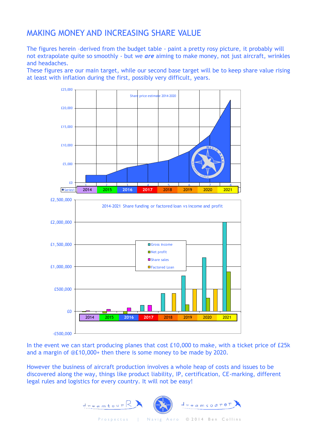### MAKING MONEY AND INCREASING SHARE VALUE

The figures herein –derived from the budget table - paint a pretty rosy picture, it probably will not extrapolate quite so smoothly - but we *are* aiming to make money, not just aircraft, wrinkles and headaches.

These figures are our main target, while our second base target will be to keep share value rising at least with inflation during the first, possibly very difficult, years.



In the event we can start producing planes that cost £10,000 to make, with a ticket price of £25k and a margin of @£10,000+ then there is some money to be made by 2020.

However the business of aircraft production involves a whole heap of costs and issues to be discovered along the way, things like product liability, IP, certification, CE-marking, different legal rules and logistics for every country. It will not be easy!

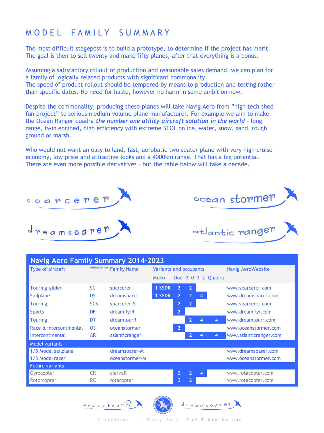### MODEL FAMILY SUMMARY

The most difficult stagepost is to build a prototype, to determine if the project has merit. The goal is then to sell twenty and make fifty planes, after that everything is a bonus.

Assuming a satisfactory rollout of production and reasonable sales demand, we can plan for a family of logically related products with significant commonality.

The speed of product rollout should be tempered by means to production and testing rather than specific dates. No need for haste, however no harm in some ambition now.

Despite the commonality, producing these planes will take Navig Aero from "high tech shed fun project" to serious medium volume plane manufacturer. For example we aim to make the Ocean Ranger quadra *the number one utility aircraft solution in the world* – long range, twin engined, high efficiency with extreme STOL on ice, water, snow, sand, rough ground or marsh.

Who would not want an easy to land, fast, aerobatic two seater plane with very high cruise economy, low price and attractive looks and a 4000km range. That has a big potential. There are even more possible derivatives – but the table below will take a decade.



| <b>Navig Aero Family Summary 2014-2023</b> |            |                          |                        |                |                |                |                        |                        |  |  |  |
|--------------------------------------------|------------|--------------------------|------------------------|----------------|----------------|----------------|------------------------|------------------------|--|--|--|
| Type of aircraft                           |            | Abbreviation Family Name | Variants and occupants |                |                |                |                        | Navig AeroWebsite      |  |  |  |
|                                            |            |                          | Mono                   |                |                |                | Duo $2+0$ $2+2$ Quadra |                        |  |  |  |
| Touring-glider                             | <b>SC</b>  | soarcerer                | 1 SSDR                 | $\overline{2}$ | $\overline{2}$ |                |                        | www.soarcerer.com      |  |  |  |
| Sailplane                                  | <b>DS</b>  | dreamsoarer              | 1 SSDR                 | $\overline{2}$ | $\overline{2}$ | $\overline{4}$ |                        | www.dreamsoarer.com    |  |  |  |
| <b>Touring</b>                             | <b>SCS</b> | soarcerer-S              |                        | $\overline{2}$ | $\overline{2}$ |                |                        | www.soarcerer.com      |  |  |  |
| <b>Sports</b>                              | DF         | dreamflyrR               |                        | $2^{\circ}$    |                |                |                        | www.dreamflyr.com      |  |  |  |
| <b>Touring</b>                             | DT         | dreamtourR               |                        |                | $\overline{2}$ | 4              | 4                      | www.dreamtourr.com     |  |  |  |
| Race & intercontinental                    | <b>OS</b>  | oceanstormer             |                        | $\overline{2}$ |                |                |                        | www.oceanstormer.com   |  |  |  |
| Intercontinental                           | <b>AR</b>  | atlanticranger           |                        |                | $\overline{2}$ | 4              | 4                      | www.atlanticranger.com |  |  |  |
| <b>Model variants</b>                      |            |                          |                        |                |                |                |                        |                        |  |  |  |
| 1/5 Model sailplane                        |            | dreamsoarer-M            |                        |                |                |                |                        | www.dreamsoarer.com    |  |  |  |
| 1/5 Model racer                            |            | oceanstormer-M           |                        |                |                |                |                        | www.oceanstormer.com   |  |  |  |
| <b>Future variants</b>                     |            |                          |                        |                |                |                |                        |                        |  |  |  |
| Gyrocopter                                 | <b>CR</b>  | ciervaR                  |                        | 2              |                | $\overline{4}$ |                        | www.rotacopter.com     |  |  |  |
| Rotorcopter                                | <b>RC</b>  | rotacopter               |                        | $\overline{2}$ |                |                |                        | www.rotacopter.com     |  |  |  |

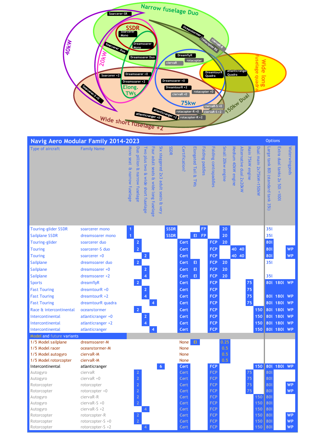

| Navig Aero Modular Family 2014-2023         |                        |                                |                               |                                                                  |                                                                 |                                               |             |                            |                      |                 |                       |                   |                    |                         |                  |                        | <b>Options</b>                     |                                |               |
|---------------------------------------------|------------------------|--------------------------------|-------------------------------|------------------------------------------------------------------|-----------------------------------------------------------------|-----------------------------------------------|-------------|----------------------------|----------------------|-----------------|-----------------------|-------------------|--------------------|-------------------------|------------------|------------------------|------------------------------------|--------------------------------|---------------|
| Type of aircraft                            | <b>Family Name</b>     | Nono seat<br>& narrow fuselage | Duo pillion & narrow fuselage | Two plus<br><b>LWO</b><br>$\mathbf{P}$<br>wide<br>short fuselage | Four<br>adult<br>seats<br>$\mathbf{P}$<br>wide<br>long fuselage | Six staggered 2x3<br>adult seats<br>æ<br>very | SSDR        | <b>Certification?</b>      | Elongated Tail & TWs | Folding paddles | Folding contrapaddles | Small 20kw engine | Medium 40kW engine | Alternative dual 2x20kW | Main 75kW engine | Dual main 2x75kW=150kW | Large tank 801 (standard tank 351) | Extra dual tanks 2x 50l = 100l | Waterwingpods |
| <b>Touring-glider SSDR</b>                  | soarcerer mono         | $\mathbf{1}$                   |                               |                                                                  |                                                                 |                                               | <b>SSDR</b> |                            |                      | FP              |                       | 20                |                    |                         |                  |                        | <b>351</b>                         |                                |               |
| <b>Sailplane SSDR</b>                       | dreamsoarer mono       | $\overline{1}$                 |                               |                                                                  |                                                                 |                                               | <b>SSDR</b> |                            | EL.                  | <b>FP</b>       |                       | 20                |                    |                         |                  |                        | 351                                |                                |               |
| Touring-glider                              | soarcerer duo          |                                | $\overline{2}$                |                                                                  |                                                                 |                                               |             | Cert                       |                      |                 | <b>FCP</b>            | 20                |                    |                         |                  |                        | 801                                |                                |               |
| <b>Touring</b>                              | soarcerer-S duo        |                                | $\overline{2}$                |                                                                  |                                                                 |                                               |             | Cert                       |                      |                 | <b>FCP</b>            |                   |                    | 40 40                   |                  |                        | 801                                |                                | <b>WP</b>     |
| <b>Touring</b>                              | soarcerer +0           |                                |                               | $\overline{2}$                                                   |                                                                 |                                               |             | Cert                       |                      |                 | <b>FCP</b>            |                   |                    | 40 40                   |                  |                        | 801                                |                                | <b>WP</b>     |
| <b>Sailplane</b>                            | dreamsoarer duo        |                                | $\overline{2}$                |                                                                  |                                                                 |                                               |             | Cer <sub>t</sub>           | Et                   |                 | <b>FCP</b>            | 20                |                    |                         |                  |                        | <b>351</b>                         |                                |               |
| <b>Sailplane</b>                            | dreamsoarer +0         |                                |                               | $\overline{2}$                                                   |                                                                 |                                               |             | Cert                       | Et                   |                 | <b>FCP</b>            | 20                |                    |                         |                  |                        |                                    |                                |               |
| <b>Sailplane</b>                            | dreamsoarer +2         |                                |                               | $\overline{4}$                                                   |                                                                 |                                               |             | Cert                       | Et.                  |                 | <b>FCP</b>            | 20                |                    |                         |                  |                        | 351                                |                                |               |
| <b>Sports</b>                               | dreamflyR              |                                | $\overline{2}$                |                                                                  |                                                                 |                                               |             | Cert                       |                      |                 | <b>FCP</b>            |                   |                    |                         | 75               |                        |                                    | 801 1801                       | WP            |
| <b>Fast Touring</b>                         | $d$ reamtour $R + 0$   |                                |                               | $\overline{2}$                                                   |                                                                 |                                               |             | Cert                       |                      |                 | <b>FCP</b>            |                   |                    |                         | 75               |                        |                                    |                                |               |
| <b>Fast Touring</b>                         | $d$ reamtour $R + 2$   |                                |                               | $\overline{4}$                                                   |                                                                 |                                               |             | Cert                       |                      |                 | <b>FCP</b>            |                   |                    |                         | 75               |                        |                                    | 801 1801                       | <b>WP</b>     |
| <b>Fast Touring</b>                         | dreamtourR quadra      |                                |                               |                                                                  | 4                                                               |                                               |             | Cert                       |                      |                 | <b>FCP</b>            |                   |                    |                         | 75               |                        | 108                                | 1801                           | <b>WP</b>     |
| Race & intercontinental                     | oceanstormer           |                                | $\overline{2}$                |                                                                  |                                                                 |                                               |             | Cert                       |                      |                 | <b>FCP</b>            |                   |                    |                         |                  | 150                    |                                    | 801 1801                       | <b>WP</b>     |
| Intercontinental                            | atlanticranger +0      |                                |                               | $\overline{a}$                                                   |                                                                 |                                               |             | Cert                       |                      |                 | <b>FCP</b>            |                   |                    |                         |                  | 150                    |                                    | 801 1801                       | <b>WP</b>     |
| Intercontinental                            | atlanticranger +2      |                                |                               | 4                                                                |                                                                 |                                               |             | Cert                       |                      |                 | <b>FCP</b>            |                   |                    |                         |                  | 150                    |                                    | 801 1801                       | <b>WP</b>     |
| Intercontinental                            | atlanticranger         |                                |                               |                                                                  | $\overline{4}$                                                  |                                               |             | Cert                       |                      |                 | <b>FCP</b>            |                   |                    |                         |                  | 150                    |                                    | 801 1801 WP                    |               |
| Model and future variants                   |                        |                                |                               |                                                                  |                                                                 |                                               |             |                            |                      |                 |                       |                   |                    |                         |                  |                        |                                    |                                |               |
| 1/5 Model sailplane                         | dreamsoarer-M          |                                |                               |                                                                  |                                                                 |                                               |             | <b>None</b>                | E1                   |                 |                       | 0.25              |                    |                         |                  |                        |                                    |                                |               |
| 1/5 Model racer                             | oceanstormer-M         |                                |                               |                                                                  |                                                                 |                                               |             | None                       |                      |                 |                       | 0.5               |                    |                         |                  |                        |                                    |                                |               |
| 1/5 Model autogyro<br>1/5 Model rotorcopter | ciervaR-M<br>ciervaR-M |                                |                               |                                                                  |                                                                 |                                               |             | <b>None</b><br><b>None</b> |                      |                 |                       | 0.5<br>0.5        |                    |                         |                  |                        |                                    |                                |               |
| Intercontinental                            | atlanticranger         |                                |                               |                                                                  |                                                                 | 6 <sup>1</sup>                                |             | Cert                       |                      |                 | <b>FCP</b>            |                   |                    |                         |                  | 150                    | 801                                | 1801                           | WP            |
| Autogyro                                    | ciervaR                |                                | $\overline{2}$                |                                                                  |                                                                 |                                               |             | Cert                       |                      |                 | <b>FCP</b>            |                   |                    |                         | 75               |                        | 801                                |                                |               |
| Autogyro                                    | ciervaR +0             |                                | $\overline{2}$                |                                                                  |                                                                 |                                               |             | Cert                       |                      |                 | <b>FCP</b>            |                   |                    |                         | 75               |                        | 801                                |                                |               |
| Rotorcopter                                 | rotorcopter            |                                | $\overline{2}$                |                                                                  |                                                                 |                                               |             | Cert                       |                      |                 | <b>FCP</b>            |                   |                    |                         | 75               |                        | 801                                |                                | <b>WP</b>     |
| Rotorcopter                                 | rotorcopter $+0$       |                                | $\overline{2}$                |                                                                  |                                                                 |                                               |             | Cert                       |                      |                 | <b>FCP</b>            |                   |                    |                         | 75               |                        | 801                                |                                | WP            |
| Autogyro                                    | ciervaR-R              |                                | $\overline{2}$                |                                                                  |                                                                 |                                               |             | Cert                       |                      |                 | <b>FCP</b>            |                   |                    |                         |                  | 150                    | 801                                |                                |               |
| Autogyro                                    | $ciervaR-S + 0$        |                                | $\overline{2}$                |                                                                  |                                                                 |                                               |             | Cert                       |                      |                 | <b>FCP</b>            |                   |                    |                         |                  | 150                    | 801                                |                                |               |
| Autogyro                                    | $cierv$ a $R-S + 2$    |                                |                               | $\overline{4}$                                                   |                                                                 |                                               |             | Cert                       |                      |                 | <b>FCP</b>            |                   |                    |                         |                  | 150                    | 801                                |                                |               |
| Rotorcopter                                 | rotorcopter-R          |                                | $\overline{2}$                |                                                                  |                                                                 |                                               |             | Cert                       |                      |                 | <b>FCP</b>            |                   |                    |                         |                  | 150                    | 801                                |                                | <b>WP</b>     |
| Rotorcopter                                 | rotorcopter- $S + 0$   |                                | $\overline{2}$                |                                                                  |                                                                 |                                               |             | Cert                       |                      |                 | <b>FCP</b>            |                   |                    |                         |                  | 150                    | 801                                |                                | <b>WP</b>     |
| Rotorcopter                                 | rotorcopter- $S + 2$   |                                |                               | $\overline{4}$                                                   |                                                                 |                                               |             | Cert                       |                      |                 | <b>FCP</b>            |                   |                    |                         |                  | 150                    | 801                                |                                | <b>WP</b>     |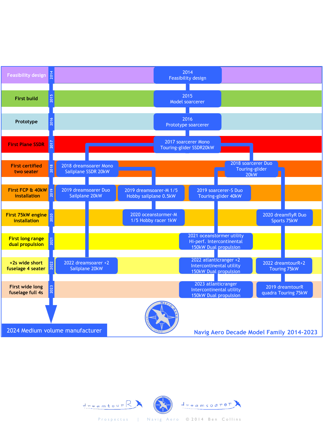



Prospectus | Navig Aero © 2014 Ben Collins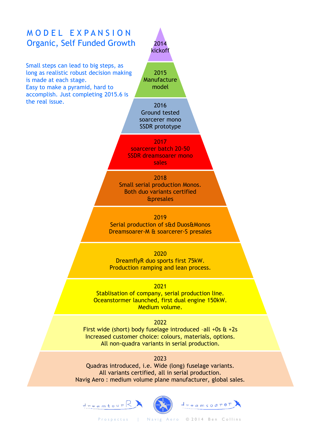

Navig Aero : medium volume plane manufacturer, global sales.



Prospectus | Navig Aero © 2014 Ben Collins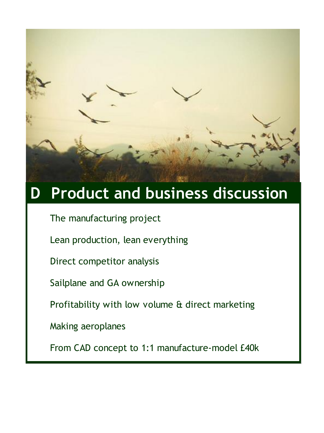

# **D Product and business discussion**

The manufacturing project

Lean production, lean everything

Direct competitor analysis

Sailplane and GA ownership

Profitability with low volume & direct marketing

Making aeroplanes

From CAD concept to 1:1 manufacture-model £40k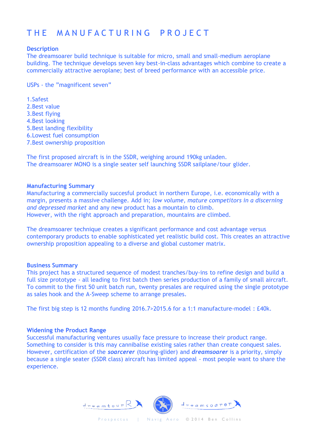## THE MANUFACTURING PROJECT

#### **Description**

The dreamsoarer build technique is suitable for micro, small and small-medium aeroplane building. The technique develops seven key best-in-class advantages which combine to create a commercially attractive aeroplane; best of breed performance with an accessible price.

USPs - the "magnificent seven"

1.Safest 2.Best value 3.Best flying 4.Best looking 5.Best landing flexibility 6.Lowest fuel consumption 7.Best ownership proposition

The first proposed aircraft is in the SSDR, weighing around 190kg unladen. The dreamsoarer MONO is a single seater self launching SSDR sailplane/tour glider.

#### **Manufacturing Summary**

Manufacturing a commercially succesful product in northern Europe, i.e. economically with a margin, presents a massive challenge. Add in; *low volume, mature competitors in a discerning and depressed market* and any new product has a mountain to climb. However, with the right approach and preparation, mountains are climbed.

The dreamsoarer technique creates a significant performance and cost advantage versus contemporary products to enable sophisticated yet realistic build cost. This creates an attractive ownership proposition appealing to a diverse and global customer matrix.

#### **Business Summary**

This project has a structured sequence of modest tranches/buy-ins to refine design and build a full size prototype - all leading to first batch then series production of a family of small aircraft. To commit to the first 50 unit batch run, twenty presales are required using the single prototype as sales hook and the A-Sweep scheme to arrange presales.

The first big step is 12 months funding 2016.7>2015.6 for a 1:1 manufacture-model : £40k.

#### **Widening the Product Range**

Successful manufacturing ventures usually face pressure to increase their product range. Something to consider is this may cannibalise existing sales rather than create conquest sales. However, certification of the *soarcerer* (touring-glider) and *dreamsoarer* is a priority, simply because a single seater (SSDR class) aircraft has limited appeal - most people want to share the experience.

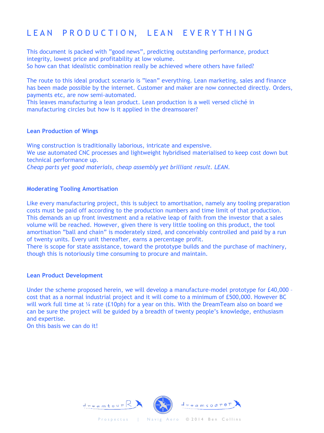## LEAN PRODUCTION, LEAN EVERYTHING

This document is packed with "good news", predicting outstanding performance, product integrity, lowest price and profitability at low volume. So how can that idealistic combination really be achieved where others have failed?

The route to this ideal product scenario is "lean" everything. Lean marketing, sales and finance has been made possible by the internet. Customer and maker are now connected directly. Orders, payments etc, are now semi-automated.

This leaves manufacturing a lean product. Lean production is a well versed cliché in manufacturing circles but how is it applied in the dreamsoarer?

#### **Lean Production of Wings**

Wing construction is traditionally laborious, intricate and expensive. We use automated CNC processes and lightweight hybridised materialised to keep cost down but technical performance up. *Cheap parts yet good materials, cheap assembly yet brilliant result. LEAN.*

#### **Moderating Tooling Amortisation**

Like every manufacturing project, this is subject to amortisation, namely any tooling preparation costs must be paid off according to the production numbers and time limit of that production. This demands an up front investment and a relative leap of faith from the investor that a sales volume will be reached. However, given there is very little tooling on this product, the tool amortisation "ball and chain" is moderately sized, and conceivably controlled and paid by a run of twenty units. Every unit thereafter, earns a percentage profit.

There is scope for state assistance, toward the prototype builds and the purchase of machinery, though this is notoriously time consuming to procure and maintain.

#### **Lean Product Development**

Under the scheme proposed herein, we will develop a manufacture-model prototype for £40,000 – cost that as a normal industrial project and it will come to a minimum of £500,000. However BC will work full time at  $\frac{1}{4}$  rate (£10ph) for a year on this. With the DreamTeam also on board we can be sure the project will be guided by a breadth of twenty people's knowledge, enthusiasm and expertise.

On this basis we can do it!

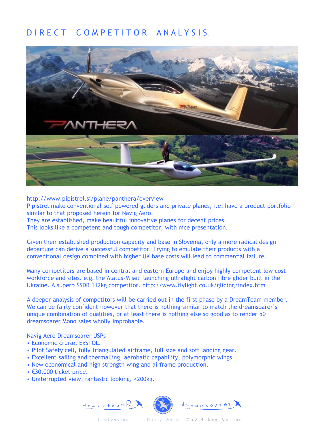### D I R E C T C O M P E T I T O R A N A L Y S I S.



http://www.pipistrel.si/plane/panthera/overview Pipistrel make conventional self powered gliders and private planes, i.e. have a product portfolio similar to that proposed herein for Navig Aero. They are established, make beautiful innovative planes for decent prices.

This looks like a competent and tough competitor, with nice presentation.

Given their established production capacity and base in Slovenia, only a more radical design departure can derive a successful competitor. Trying to emulate their products with a conventional design combined with higher UK base costs will lead to commercial failure.

Many competitors are based in central and eastern Europe and enjoy highly competent low cost workforce and sites. e.g. the Alatus-M self launching ultralight carbon fibre glider built in the Ukraine. A superb SSDR 112kg competitor. http://www.flylight.co.uk/gliding/index.htm

A deeper analysis of competitors will be carried out in the first phase by a DreamTeam member. We can be fairly confident however that there is nothing similar to match the dreamsoarer's unique combination of qualities, or at least there is nothing else so good as to render 50 dreamsoarer Mono sales wholly improbable.

Navig Aero Dreamsoarer USPs

- Economic cruise, ExSTOL.
- Pilot Safety cell, fully triangulated airframe, full size and soft landing gear.
- Excellent sailing and thermalling, aerobatic capability, polymorphic wings.
- New economical and high strength wing and airframe production.
- €30,000 ticket price.
- Uniterrupted view, fantastic looking, <200kg.

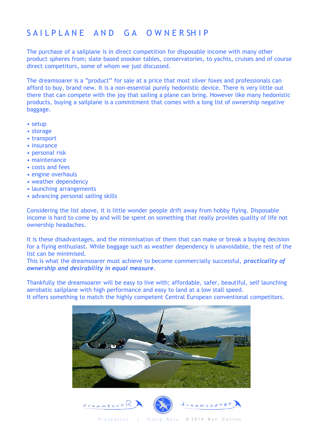## SAILPLANE AND GA OWNERSHIP

The purchase of a sailplane is in direct competition for disposable income with many other product spheres from; slate based snooker tables, conservatories, to yachts, cruises and of course direct competitors, some of whom we just discussed.

The dreamsoarer is a "product" for sale at a price that most silver foxes and professionals can afford to buy, brand new. It is a non-essential purely hedonistic device. There is very little out there that can compete with the joy that sailing a plane can bring. However like many hedonistic products, buying a sailplane is a commitment that comes with a long list of ownership negative baggage.

- setup
- storage
- transport
- insurance
- personal risk
- maintenance
- costs and fees
- engine overhauls
- weather dependency
- launching arrangements
- advancing personal sailing skills

Considering the list above, it is little wonder people drift away from hobby flying. Disposable income is hard to come by and will be spent on something that really provides quality of life not ownership headaches.

It is these disadvantages, and the minimisation of them that can make or break a buying decision for a flying enthusiast. While baggage such as weather dependency is unavoidable, the rest of the list can be minimised.

This is what the dreamsoarer must achieve to become commercially successful, *practicality of ownership and desirability in equal measure.* 

Thankfully the dreamsoarer will be easy to live with; affordable, safer, beautiful, self launching aerobatic sailplane with high performance and easy to land at a low stall speed. It offers something to match the highly competent Central European conventional competitors.



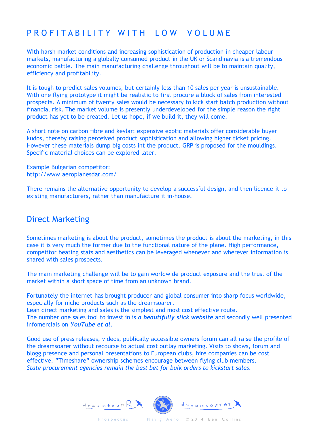## PROFITABILITY WITH LOW VOLUME

With harsh market conditions and increasing sophistication of production in cheaper labour markets, manufacturing a globally consumed product in the UK or Scandinavia is a tremendous economic battle. The main manufacturing challenge throughout will be to maintain quality, efficiency and profitability.

It is tough to predict sales volumes, but certainly less than 10 sales per year is unsustainable. With one flying prototype it might be realistic to first procure a block of sales from interested prospects. A minimum of twenty sales would be necessary to kick start batch production without financial risk. The market volume is presently underdeveloped for the simple reason the right product has yet to be created. Let us hope, if we build it, they will come.

A short note on carbon fibre and kevlar; expensive exotic materials offer considerable buyer kudos, thereby raising perceived product sophistication and allowing higher ticket pricing. However these materials dump big costs int the product. GRP is proposed for the mouldings. Specific material choices can be explored later.

Example Bulgarian competitor: http://www.aeroplanesdar.com/

There remains the alternative opportunity to develop a successful design, and then licence it to existing manufacturers, rather than manufacture it in-house.

### Direct Marketing

Sometimes marketing is about the product, sometimes the product is about the marketing, in this case it is very much the former due to the functional nature of the plane. High performance, competitor beating stats and aesthetics can be leveraged whenever and wherever information is shared with sales prospects.

The main marketing challenge will be to gain worldwide product exposure and the trust of the market within a short space of time from an unknown brand.

Fortunately the internet has brought producer and global consumer into sharp focus worldwide, especially for niche products such as the dreamsoarer.

Lean direct marketing and sales is the simplest and most cost effective route. The number one sales tool to invest in is *a beautifully slick website* and secondly well presented infomercials on *YouTube et al.*

Good use of press releases, videos, publically accessible owners forum can all raise the profile of the dreamsoarer without recourse to actual cost outlay marketing. Visits to shows, forum and blogg presence and personal presentations to European clubs, hire companies can be cost effective. "Timeshare" ownership schemes encourage between flying club members. *State procurement agencies remain the best bet for bulk orders to kickstart sales.*

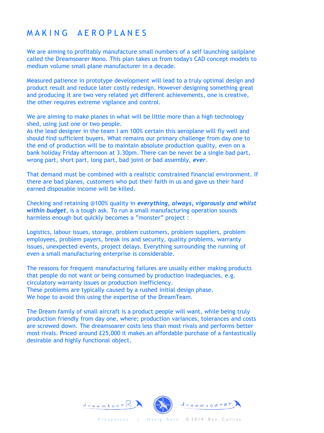### M A K I N G A E R O P L A N E S

We are aiming to profitably manufacture small numbers of a self launching sailplane called the Dreamsoarer Mono. This plan takes us from today's CAD concept models to medium volume small plane manufacturer in a decade.

Measured patience in prototype development will lead to a truly optimal design and product result and reduce later costly redesign. However designing something great and producing it are two very related yet different achievements, one is creative, the other requires extreme vigilance and control.

We are aiming to make planes in what will be little more than a high technology shed, using just one or two people.

As the lead designer in the team I am 100% certain this aeroplane will fly well and should find sufficient buyers. What remains our primary challenge from day one to the end of production will be to maintain absolute production quality, even on a bank holiday Friday afternoon at 3.30pm. There can be never be a single bad part, wrong part, short part, long part, bad joint or bad assembly, *ever*.

That demand must be combined with a realistic constrained financial environment. If there are bad planes, customers who put their faith in us and gave us their hard earned disposable income will be killed.

Checking and retaining @100% quality in *everything, always, vigorously and whilst within budget*, is a tough ask. To run a small manufacturing operation sounds harmless enough but quickly becomes a "monster" project :

Logistics, labour issues, storage, problem customers, problem suppliers, problem employees, problem payers, break ins and security, quality problems, warranty issues, unexpected events, project delays. Everything surrounding the running of even a small manufacturing enterprise is considerable.

The reasons for frequent manufacturing failures are usually either making products that people do not want or being consumed by production inadequacies, e.g. circulatory warranty issues or production inefficiency. These problems are typically caused by a rushed initial design phase. We hope to avoid this using the expertise of the DreamTeam.

The Dream family of small aircraft is a product people will want, while being truly production friendly from day one, where; production variances, tolerances and costs are screwed down. The dreamsoarer costs less than most rivals and performs better most rivals. Priced around £25,000 it makes an affordable purchase of a fantastically desirable and highly functional object.

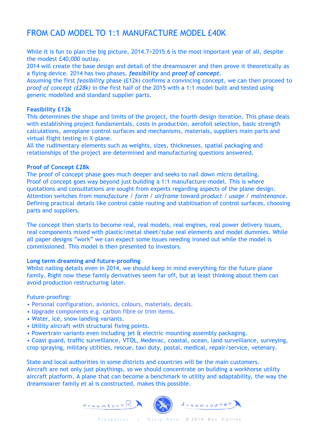### FROM CAD MODEL TO 1:1 MANUFACTURE MODEL £40K

While it is fun to plan the big picture, 2014.7>2015.6 is the most important year of all, despite the modest £40,000 outlay.

2014 will create the base design and detail of the dreamsoarer and then prove it theoretically as a flying device. 2014 has two phases, *feasibility* and *proof of concept*.

Assuming the first *feasibility* phase (£12k) confirms a convincing concept, we can then proceed to *proof of concept (£28k)* in the first half of the 2015 with a 1:1 model built and tested using generic modelled and standard supplier parts.

#### **Feasibility £12k**

This determines the shape and limits of the project, the fourth design iteration. This phase deals with establishing project fundamentals, costs in production, aerofoil selection, basic strength calculations, aeroplane control surfaces and mechanisms, materials, suppliers main parts and virtual flight testing in X-plane.

All the rudimentary elements such as weights, sizes, thicknesses, spatial packaging and relationships of the project are determined and manufacturing questions answered.

#### **Proof of Concept £28k**

The proof of concept phase goes much deeper and seeks to nail down micro detailing. Proof of concept goes way beyond just building a 1:1 manufacture-model. This is where quotations and consultations are sought from experts regarding aspects of the plane design. Attention switches from *manufacture / form / airframe* toward *product / usage / maintenance*. Defining practical details like control cable routing and stabilisation of control surfaces, choosing parts and suppliers.

The concept then starts to become real, real models, real engines, real power delivery issues, real components mixed with plastic/metal sheet/tube real elements and model dummies. While all paper designs "work" we can expect some issues needing ironed out while the model is commissioned. This model is then presented to investors.

#### **Long term dreaming and future-proofing**

Whilst nailing details even in 2014, we should keep in mind everything for the future plane family. Right now these family derivatives seem far off, but at least thinking about them can avoid production restructuring later.

#### Future-proofing:

- Personal configuration, avionics, colours, materials, decals.
- Upgrade components e.g. carbon fibre or trim items.
- Water, ice, snow landing variants.
- Utility aircraft with structural fixing points.
- Powertrain variants even including jet & electric mounting assembly packaging.

• Coast guard, traffic surveillance, VTOL, Medevac, coastal, ocean, land surveillance, surveying, crop spraying, military utilities, rescue, taxi duty, postal, medical, repair/service, vetenary.

State and local authorities in some districts and countries will be the main customers. Aircraft are not only just playthings, so we should concentrate on building a workhorse utility aircraft platform. A plane that can become a benchmark in utility and adaptability, the way the dreamsoarer family et al is constructed, makes this possible.

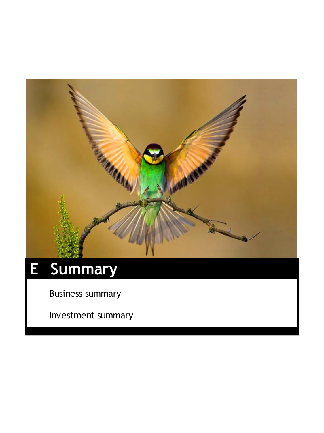

# **E Summary**

Business summary

Investment summary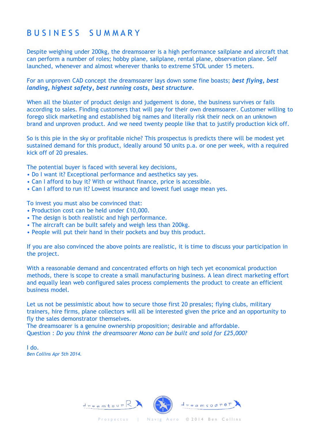### B U S I N E S S S U M M A R Y

Despite weighing under 200kg, the dreamsoarer is a high performance sailplane and aircraft that can perform a number of roles; hobby plane, sailplane, rental plane, observation plane. Self launched, whenever and almost wherever thanks to extreme STOL under 15 meters.

For an unproven CAD concept the dreamsoarer lays down some fine boasts; *best flying, best landing, highest safety, best running costs, best structure.*

When all the bluster of product design and judgement is done, the business survives or fails according to sales. Finding customers that will pay for their own dreamsoarer. Customer willing to forego slick marketing and established big names and literally risk their neck on an unknown brand and unproven product. And we need twenty people like that to justify production kick off.

So is this pie in the sky or profitable niche? This prospectus is predicts there will be modest yet sustained demand for this product, ideally around 50 units p.a. or one per week, with a required kick off of 20 presales.

The potential buyer is faced with several key decisions,

- Do I want it? Exceptional performance and aesthetics say yes.
- Can I afford to buy it? With or without finance, price is accessible.
- Can I afford to run it? Lowest insurance and lowest fuel usage mean yes.

To invest you must also be convinced that:

- Production cost can be held under £10,000.
- The design is both realistic and high performance.
- The aircraft can be built safely and weigh less than 200kg.
- People will put their hand in their pockets and buy this product.

If you are also convinced the above points are realistic, it is time to discuss your participation in the project.

With a reasonable demand and concentrated efforts on high tech yet economical production methods, there is scope to create a small manufacturing business. A lean direct marketing effort and equally lean web configured sales process complements the product to create an efficient business model.

Let us not be pessimistic about how to secure those first 20 presales; flying clubs, military trainers, hire firms, plane collectors will all be interested given the price and an opportunity to fly the sales demonstrator themselves.

The dreamsoarer is a genuine ownership proposition; desirable and affordable. Question : *Do you think the dreamsoarer Mono can be built and sold for £25,000?*

I do. *Ben Collins Apr 5th 2014.*

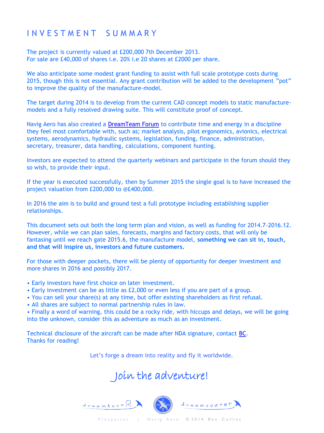### I N V E S T M E N T S U M M A R Y

The project is currently valued at £200,000 7th December 2013. For sale are £40,000 of shares i.e. 20% i.e 20 shares at £2000 per share.

We also anticipate some modest grant funding to assist with full scale prototype costs during 2015, though this is not essential. Any grant contribution will be added to the development "pot" to improve the quality of the manufacture-model.

The target during 2014 is to develop from the current CAD concept models to static manufacturemodels and a fully resolved drawing suite. This will constitute proof of concept.

Navig Aero has also created a [DreamTeam Forum](http://www.crotas.com/) to contribute time and energy in a discipline they feel most comfortable with, such as; market analysis, pilot ergonomics, avionics, electrical systems, aerodynamics, hydraulic systems, legislation, funding, finance, administration, secretary, treasurer, data handling, calculations, component hunting.

Investors are expected to attend the quarterly webinars and participate in the forum should they so wish, to provide their input.

If the year is executed successfully, then by Summer 2015 the single goal is to have increased the project valuation from £200,000 to @£400,000.

In 2016 the aim is to build and ground test a full prototype including establishing supplier relationships.

This document sets out both the long term plan and vision, as well as funding for 2014.7-2016.12. However, while we can plan sales, forecasts, margins and factory costs, that will only be fantasing until we reach gate 2015.6, the manufacture model, **something we can sit in, touch, and that will inspire us, investors and future customers.**

For those with deeper pockets, there will be plenty of opportunity for deeper investment and more shares in 2016 and possibly 2017.

- Early investors have first choice on later investment.
- Early investment can be as little as £2,000 or even less if you are part of a group.
- You can sell your share(s) at any time, but offer existing shareholders as first refusal.
- All shares are subject to normal partnership rules in law.

• Finally a word of warning, this could be a rocky ride, with hiccups and delays, we will be going into the unknown, consider this as adventure as much as an investment.

Technical disclosure of the aircraft can be made after NDA signature, contact [BC](mailto:ben@navigaero.com?subject=interested in the dreamsoarer project - possible investor). Thanks for reading!

Let's forge a dream into reality and fly it worldwide.

# Join the adventure!